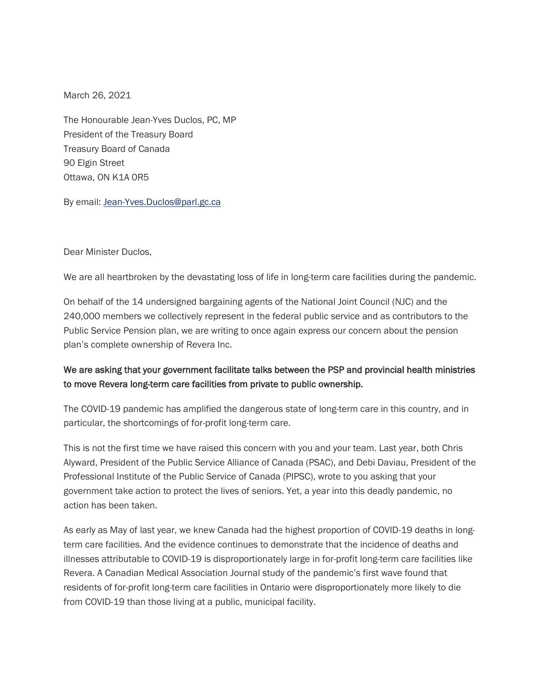March 26, 2021

The Honourable Jean-Yves Duclos, PC, MP President of the Treasury Board Treasury Board of Canada 90 Elgin Street Ottawa, ON K1A 0R5

By email: [Jean-Yves.Duclos@parl.gc.ca](mailto:Jean-Yves.Duclos@parl.gc.ca)

Dear Minister Duclos,

We are all heartbroken by the devastating loss of life in long-term care facilities during the pandemic.

On behalf of the 14 undersigned bargaining agents of the National Joint Council (NJC) and the 240,000 members we collectively represent in the federal public service and as contributors to the Public Service Pension plan, we are writing to once again express our concern about the pension plan's complete ownership of Revera Inc.

## We are asking that your government facilitate talks between the PSP and provincial health ministries to move Revera long-term care facilities from private to public ownership.

The COVID-19 pandemic has amplified the dangerous state of long-term care in this country, and in particular, the shortcomings of for-profit long-term care.

This is not the first time we have raised this concern with you and your team. Last year, both Chris Alyward, President of the Public Service Alliance of Canada (PSAC), and Debi Daviau, President of the Professional Institute of the Public Service of Canada (PIPSC), wrote to you asking that your government take action to protect the lives of seniors. Yet, a year into this deadly pandemic, no action has been taken.

As early as May of last year, we knew Canada had the highest proportion of COVID-19 deaths in longterm care facilities. And the evidence continues to demonstrate that the incidence of deaths and illnesses attributable to COVID-19 is disproportionately large in for-profit long-term care facilities like Revera. A Canadian Medical Association Journal study of the pandemic's first wave found that residents of for-profit long-term care facilities in Ontario were disproportionately more likely to die from COVID-19 than those living at a public, municipal facility.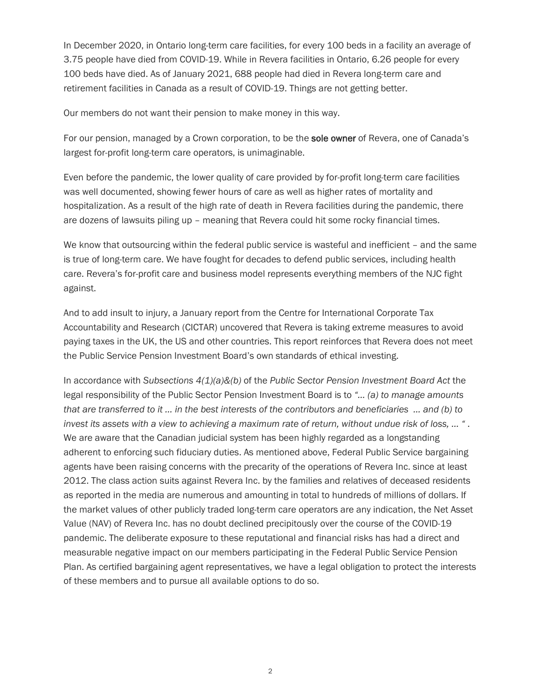In December 2020, in Ontario long-term care facilities, for every 100 beds in a facility an average of 3.75 people have died from COVID-19. While in Revera facilities in Ontario, 6.26 people for every 100 beds have died. As of January 2021, 688 people had died in Revera long-term care and retirement facilities in Canada as a result of COVID-19. Things are not getting better.

Our members do not want their pension to make money in this way.

For our pension, managed by a Crown corporation, to be the **sole owner** of Revera, one of Canada's largest for-profit long-term care operators, is unimaginable.

Even before the pandemic, the lower quality of care provided by for-profit long-term care facilities was well documented, showing fewer hours of care as well as higher rates of mortality and hospitalization. As a result of the high rate of death in Revera facilities during the pandemic, there are dozens of lawsuits piling up – meaning that Revera could hit some rocky financial times.

We know that outsourcing within the federal public service is wasteful and inefficient – and the same is true of long-term care. We have fought for decades to defend public services, including health care. Revera's for-profit care and business model represents everything members of the NJC fight against.

And to add insult to injury, a January report from the Centre for International Corporate Tax Accountability and Research (CICTAR) uncovered that Revera is taking extreme measures to avoid paying taxes in the UK, the US and other countries. This report reinforces that Revera does not meet the Public Service Pension Investment Board's own standards of ethical investing.

In accordance with *Subsections 4(1)(a)&(b)* of the *Public Sector Pension Investment Board Act* the legal responsibility of the Public Sector Pension Investment Board is to *"… (a) to manage amounts that are transferred to it … in the best interests of the contributors and beneficiaries … and (b) to invest its assets with a view to achieving a maximum rate of return, without undue risk of loss, … "* . We are aware that the Canadian judicial system has been highly regarded as a longstanding adherent to enforcing such fiduciary duties. As mentioned above, Federal Public Service bargaining agents have been raising concerns with the precarity of the operations of Revera Inc. since at least 2012. The class action suits against Revera Inc. by the families and relatives of deceased residents as reported in the media are numerous and amounting in total to hundreds of millions of dollars. If the market values of other publicly traded long-term care operators are any indication, the Net Asset Value (NAV) of Revera Inc. has no doubt declined precipitously over the course of the COVID-19 pandemic. The deliberate exposure to these reputational and financial risks has had a direct and measurable negative impact on our members participating in the Federal Public Service Pension Plan. As certified bargaining agent representatives, we have a legal obligation to protect the interests of these members and to pursue all available options to do so.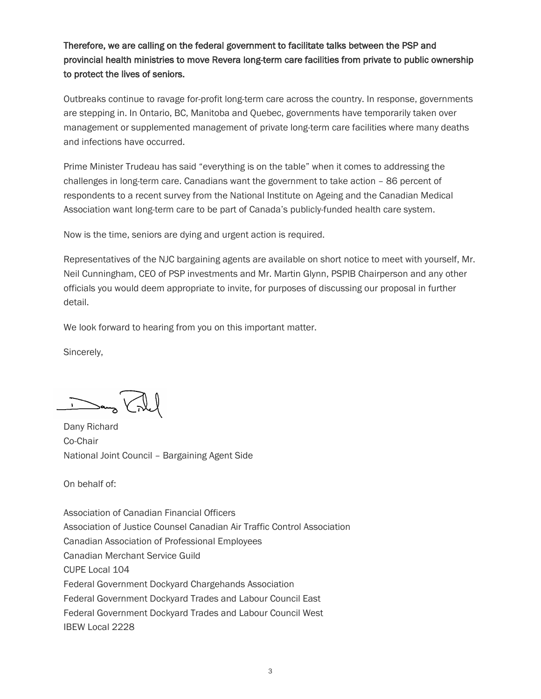Therefore, we are calling on the federal government to facilitate talks between the PSP and provincial health ministries to move Revera long-term care facilities from private to public ownership to protect the lives of seniors.

Outbreaks continue to ravage for-profit long-term care across the country. In response, governments are stepping in. In Ontario, BC, Manitoba and Quebec, governments have temporarily taken over management or supplemented management of private long-term care facilities where many deaths and infections have occurred.

Prime Minister Trudeau has said "everything is on the table" when it comes to addressing the challenges in long-term care. Canadians want the government to take action – 86 percent of respondents to a recent survey from the National Institute on Ageing and the Canadian Medical Association want long-term care to be part of Canada's publicly-funded health care system.

Now is the time, seniors are dying and urgent action is required.

Representatives of the NJC bargaining agents are available on short notice to meet with yourself, Mr. Neil Cunningham, CEO of PSP investments and Mr. Martin Glynn, PSPIB Chairperson and any other officials you would deem appropriate to invite, for purposes of discussing our proposal in further detail.

We look forward to hearing from you on this important matter.

Sincerely,

Dans Vile

Dany Richard Co-Chair National Joint Council – Bargaining Agent Side

On behalf of:

Association of Canadian Financial Officers Association of Justice Counsel Canadian Air Traffic Control Association Canadian Association of Professional Employees Canadian Merchant Service Guild CUPE Local 104 Federal Government Dockyard Chargehands Association Federal Government Dockyard Trades and Labour Council East Federal Government Dockyard Trades and Labour Council West IBEW Local 2228